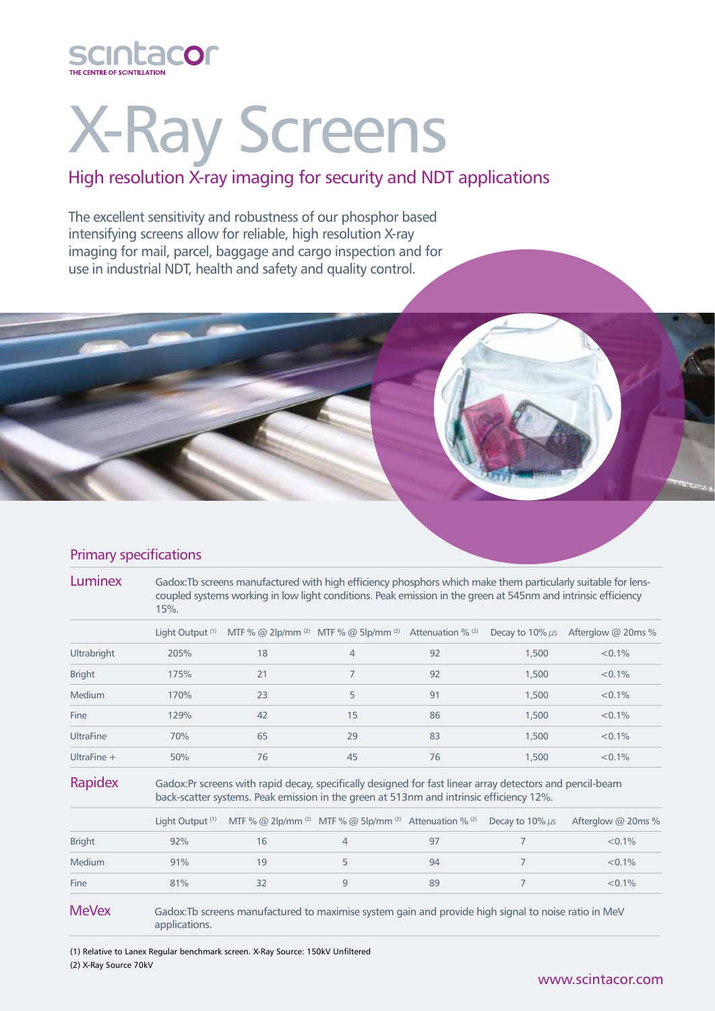

# X-Ray Screens

## High resolution X-ray imaging for security and NDT applications

The excellent sensitivity and robustness of our phosphor based intensifying screens allow for reliable, high resolution X-ray imaging for mail, parcel, baggage and cargo inspection and for use in industrial NDT, health and safety and quality control.



| Luminex            | Gadox: Tb screens manufactured with high efficiency phosphors which make them particularly suitable for lens-<br>coupled systems working in low light conditions. Peak emission in the green at 545nm and intrinsic efficiency<br>$15%$ . |    |                                                 |                        |                         |                      |  |  |
|--------------------|-------------------------------------------------------------------------------------------------------------------------------------------------------------------------------------------------------------------------------------------|----|-------------------------------------------------|------------------------|-------------------------|----------------------|--|--|
|                    | Light Output <sup>(1)</sup>                                                                                                                                                                                                               |    | MTF % @ 2lp/mm $^{(2)}$ MTF % @ 5lp/mm $^{(2)}$ | Attenuation $\%$ $(2)$ | Decay to $10\%$ $\mu s$ | Afterglow $@$ 20ms % |  |  |
| <b>Ultrabright</b> | 205%                                                                                                                                                                                                                                      | 18 | $\overline{4}$                                  | 92                     | 1,500                   | $< 0.1\%$            |  |  |
| <b>Bright</b>      | 175%                                                                                                                                                                                                                                      | 21 | 7                                               | 92                     | 1,500                   | $< 0.1\%$            |  |  |
| Medium             | 170%                                                                                                                                                                                                                                      | 23 | 5                                               | 91                     | 1,500                   | $< 0.1\%$            |  |  |
| <b>Fine</b>        | 129%                                                                                                                                                                                                                                      | 42 | 15                                              | 86                     | 1,500                   | $< 0.1\%$            |  |  |
| <b>UltraFine</b>   | 70%                                                                                                                                                                                                                                       | 65 | 29                                              | 83                     | 1,500                   | $< 0.1\%$            |  |  |
| UltraFine $+$      | 50%                                                                                                                                                                                                                                       | 76 | 45                                              | 76                     | 1,500                   | $< 0.1\%$            |  |  |
| Rapidex            | Gadox:Pr screens with rapid decay, specifically designed for fast linear array detectors and pencil-beam<br>back-scatter systems. Peak emission in the green at 513nm and intrinsic efficiency 12%.                                       |    |                                                 |                        |                         |                      |  |  |

|               | Light Output <sup>(1)</sup> | MTF % @ 2lp/mm $^{(2)}$ MTF % @ 5lp/mm $^{(2)}$ Attenuation % $^{(2)}$ |    | Decay to $10\%$ $\mu$ s | Afterglow $@$ 20ms % |
|---------------|-----------------------------|------------------------------------------------------------------------|----|-------------------------|----------------------|
| <b>Bright</b> | 92%                         |                                                                        |    |                         | $< 0.1\%$            |
| Medium        | 91%                         | 19                                                                     | 94 |                         | $< 0.1\%$            |
| Fine          | 81%                         |                                                                        | 89 |                         | $< 0.1\%$            |

MeVex Gadox: Tb screens manufactured to maximise system gain and provide high signal to noise ratio in MeV applications.

(1) Relative to Lanex Regular benchmark screen. X-Ray Source: 150kV Unfiltered (2) X-Ray Source 70kV